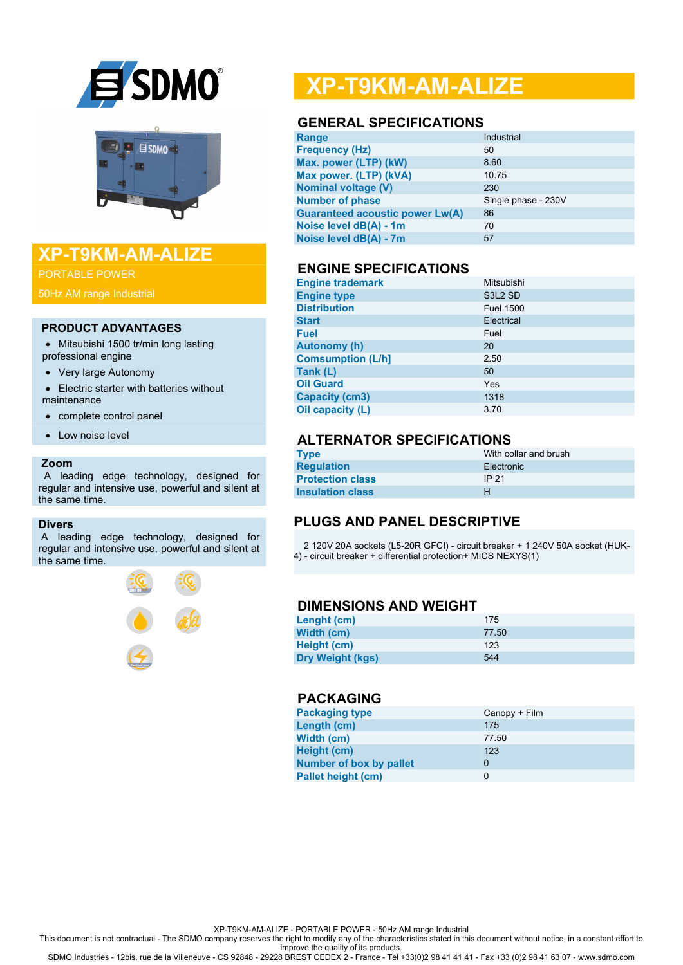



## **XP-T9KM-AM-ALIZE**

PORTABLE POWER

50Hz AM range Industrial

#### **PRODUCT ADVANTAGES**

- Mitsubishi 1500 tr/min long lasting professional engine
- Very large Autonomy
- Electric starter with batteries without maintenance
- complete control panel
- Low noise level

#### **Zoom**

 A leading edge technology, designed for regular and intensive use, powerful and silent at the same time.

#### **Divers**

A leading edge technology, designed for regular and intensive use, powerful and silent at the same time.



# **XP-T9KM-AM-ALIZE**

#### **GENERAL SPECIFICATIONS**

| Range                                  | Industrial          |
|----------------------------------------|---------------------|
| <b>Frequency (Hz)</b>                  | 50                  |
| Max. power (LTP) (kW)                  | 8.60                |
| Max power. (LTP) (kVA)                 | 10.75               |
| <b>Nominal voltage (V)</b>             | 230                 |
| <b>Number of phase</b>                 | Single phase - 230V |
| <b>Guaranteed acoustic power Lw(A)</b> | 86                  |
| Noise level dB(A) - 1m                 | 70                  |
| Noise level dB(A) - 7m                 | 57                  |
|                                        |                     |

#### **ENGINE SPECIFICATIONS**

| <b>Engine trademark</b>  | Mitsubishi          |
|--------------------------|---------------------|
| <b>Engine type</b>       | S3L <sub>2</sub> SD |
| <b>Distribution</b>      | <b>Fuel 1500</b>    |
| <b>Start</b>             | Electrical          |
| <b>Fuel</b>              | Fuel                |
| <b>Autonomy (h)</b>      | 20                  |
| <b>Comsumption (L/h]</b> | 2.50                |
| Tank (L)                 | 50                  |
| <b>Oil Guard</b>         | Yes                 |
| <b>Capacity (cm3)</b>    | 1318                |
| Oil capacity (L)         | 3.70                |

## **ALTERNATOR SPECIFICATIONS**

| Type                    | With collar and brush |
|-------------------------|-----------------------|
| <b>Regulation</b>       | Electronic            |
| <b>Protection class</b> | IP 21                 |
| <b>Insulation class</b> | н                     |

### **PLUGS AND PANEL DESCRIPTIVE**

 2 120V 20A sockets (L5-20R GFCI) - circuit breaker + 1 240V 50A socket (HUK-4) - circuit breaker + differential protection+ MICS NEXYS(1)

#### **DIMENSIONS AND WEIGHT**

| Lenght (cm)             | 175   |
|-------------------------|-------|
| Width (cm)              | 77.50 |
| Height (cm)             | 123   |
| <b>Dry Weight (kgs)</b> | 544   |

## **PACKAGING**

| <b>Packaging type</b>          | Canopy + Film |
|--------------------------------|---------------|
| Length (cm)                    | 175           |
| Width (cm)                     | 77.50         |
| Height (cm)                    | 123           |
| <b>Number of box by pallet</b> | 0             |
| <b>Pallet height (cm)</b>      | 0             |

XP-T9KM-AM-ALIZE - PORTABLE POWER - 50Hz AM range Industrial

This document is not contractual - The SDMO company reserves the right to modify any of the characteristics stated in this document without notice, in a constant effort to

improve the quality of its products. SDMO Industries - 12bis, rue de la Villeneuve - CS 92848 - 29228 BREST CEDEX 2 - France - Tel +33(0)2 98 41 41 41 - Fax +33 (0)2 98 41 63 07 - www.sdmo.com